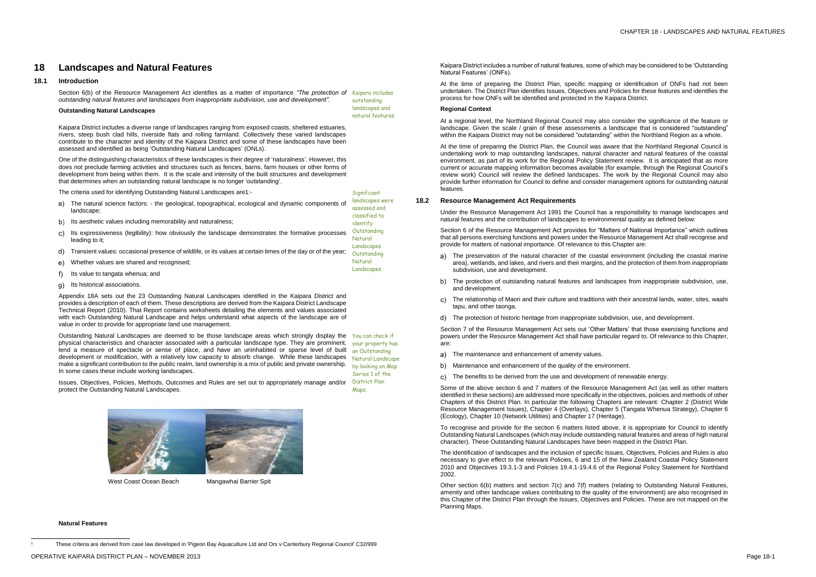# **18 Landscapes and Natural Features**

# **18.1 Introduction**

Section 6(b) of the Resource Management Act identifies as a matter of importance *"The protection of*  Kaipara includes *outstanding natural features and landscapes from inappropriate subdivision, use and development".* outstanding

> landscapes and natural features.

Significant

# **Outstanding Natural Landscapes**

Kaipara District includes a diverse range of landscapes ranging from exposed coasts, sheltered estuaries, rivers, steep bush clad hills, riverside flats and rolling farmland. Collectively these varied landscapes contribute to the character and identity of the Kaipara District and some of these landscapes have been assessed and identified as being 'Outstanding Natural Landscapes' (ONLs).

One of the distinguishing characteristics of these landscapes is their degree of 'naturalness'. However, this does not preclude farming activities and structures such as fences, barns, farm houses or other forms of development from being within them. It is the scale and intensity of the built structures and development that determines when an outstanding natural landscape is no longer 'outstanding'.

The criteria used for identifying Outstanding Natural Landscapes are1:-

Outstanding Natural Landscapes are deemed to be those landscape areas which strongly display the You can check if physical characteristics and character associated with a particular landscape type. They are prominent, lend a measure of spectacle or sense of place, and have an uninhabited or sparse level of built development or modification, with a relatively low capacity to absorb change. While these landscapes make a significant contribution to the public realm, land ownership is a mix of public and private ownership. In some cases these include working landscapes.

your property has an Outstanding Natural Landscape by looking on Map Series 1 of the District Plan **Maps** 

| a)  | The natural science factors: - the geological, topographical, ecological and dynamic components of<br>landscape;                                             | landscapes were<br>assessed and<br>classified to |
|-----|--------------------------------------------------------------------------------------------------------------------------------------------------------------|--------------------------------------------------|
| b)  | Its aesthetic values including memorability and naturalness:                                                                                                 | identify                                         |
| C)  | Its expressiveness (legibility): how obviously the landscape demonstrates the formative processes<br>leading to it:                                          | Outstanding<br>Natural                           |
| d)  | Transient values: occasional presence of wildlife, or its values at certain times of the day or of the year;                                                 | Landscapes<br>Outstanding                        |
| e). | Whether values are shared and recognised;<br>the contract of the contract of the contract of the contract of the contract of the contract of the contract of | Natural<br>Landscapes.                           |

- f) Its value to tangata whenua; and
- g) Its historical associations.

Appendix 18A sets out the 23 Outstanding Natural Landscapes identified in the Kaipara District and provides a description of each of them. These descriptions are derived from the Kaipara District Landscape Technical Report (2010). That Report contains worksheets detailing the elements and values associated with each Outstanding Natural Landscape and helps understand what aspects of the landscape are of value in order to provide for appropriate land use management.

Issues, Objectives, Policies, Methods, Outcomes and Rules are set out to appropriately manage and/or protect the Outstanding Natural Landscapes.



West Coast Ocean Beach Mangawhai Barrier Spit

- The maintenance and enhancement of amenity values. a)
- b) Maintenance and enhancement of the quality of the environment.
- c) The benefits to be derived from the use and development of renewable energy.

### **Natural Features**

 $\overline{a}$ 

<sup>1</sup> These criteria are derived from case law developed in 'Pigeon Bay Aquaculture Ltd and Ors v Canterbury Regional Council' C32/999

Kaipara District includes a number of natural features, some of which may be considered to be 'Outstanding Natural Features' (ONFs).

At the time of preparing the District Plan, specific mapping or identification of ONFs had not been undertaken. The District Plan identifies Issues, Objectives and Policies for these features and identifies the process for how ONFs will be identified and protected in the Kaipara District.

## **Regional Context**

At a regional level, the Northland Regional Council may also consider the significance of the feature or landscape. Given the scale / grain of these assessments a landscape that is considered "outstanding" within the Kaipara District may not be considered "outstanding" within the Northland Region as a whole.

At the time of preparing the District Plan, the Council was aware that the Northland Regional Council is undertaking work to map outstanding landscapes, natural character and natural features of the coastal environment, as part of its work for the Regional Policy Statement review. It is anticipated that as more current or accurate mapping information becomes available (for example, through the Regional Council's review work) Council will review the defined landscapes. The work by the Regional Council may also provide further information for Council to define and consider management options for outstanding natural features.

# **18.2 Resource Management Act Requirements**

Under the Resource Management Act 1991 the Council has a responsibility to manage landscapes and natural features and the contribution of landscapes to environmental quality as defined below:

Section 6 of the Resource Management Act provides for "Matters of National Importance" which outlines that all persons exercising functions and powers under the Resource Management Act shall recognise and provide for matters of national importance. Of relevance to this Chapter are:

- The preservation of the natural character of the coastal environment (including the coastal marine area), wetlands, and lakes, and rivers and their margins, and the protection of them from inappropriate subdivision, use and development.
- b) The protection of outstanding natural features and landscapes from inappropriate subdivision, use, and development.
- The relationship of Maori and their culture and traditions with their ancestral lands, water, sites, waahi c). tapu, and other taonga.
- The protection of historic heritage from inappropriate subdivision, use, and development.

Section 7 of the Resource Management Act sets out 'Other Matters' that those exercising functions and powers under the Resource Management Act shall have particular regard to. Of relevance to this Chapter, are:

Some of the above section 6 and 7 matters of the Resource Management Act (as well as other matters identified in these sections) are addressed more specifically in the objectives, policies and methods of other Chapters of this District Plan. In particular the following Chapters are relevant: Chapter 2 (District Wide Resource Management Issues), Chapter 4 (Overlays), Chapter 5 (Tangata Whenua Strategy), Chapter 6 (Ecology), Chapter 10 (Network Utilities) and Chapter 17 (Heritage).

To recognise and provide for the section 6 matters listed above, it is appropriate for Council to identify Outstanding Natural Landscapes (which may include outstanding natural features and areas of high natural character). These Outstanding Natural Landscapes have been mapped in the District Plan.

The identification of landscapes and the inclusion of specific Issues, Objectives, Policies and Rules is also necessary to give effect to the relevant Policies, 6 and 15 of the New Zealand Coastal Policy Statement 2010 and Objectives 19.3.1-3 and Policies 19.4.1-19.4.6 of the Regional Policy Statement for Northland 2002.

Other section 6(b) matters and section 7(c) and 7(f) matters (relating to Outstanding Natural Features, amenity and other landscape values contributing to the quality of the environment) are also recognised in this Chapter of the District Plan through the Issues, Objectives and Policies. These are not mapped on the Planning Maps.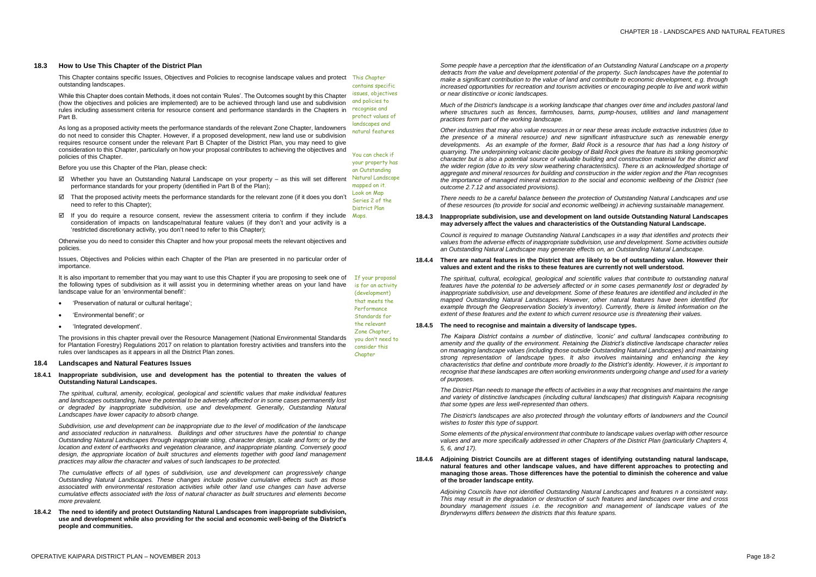# **18.3 How to Use This Chapter of the District Plan**

This Chapter contains specific Issues, Objectives and Policies to recognise landscape values and protect This Chapter outstanding landscapes.

While this Chapter does contain Methods, it does not contain 'Rules'. The Outcomes sought by this Chapter (how the objectives and policies are implemented) are to be achieved through land use and subdivision rules including assessment criteria for resource consent and performance standards in the Chapters in Part B.

As long as a proposed activity meets the performance standards of the relevant Zone Chapter, landowners do not need to consider this Chapter. However, if a proposed development, new land use or subdivision requires resource consent under the relevant Part B Chapter of the District Plan, you may need to give consideration to this Chapter, particularly on how your proposal contributes to achieving the objectives and policies of this Chapter.

- $\boxtimes$  Whether you have an Outstanding Natural Landscape on your property as this will set different performance standards for your property (identified in Part B of the Plan);
- $\boxtimes$  That the proposed activity meets the performance standards for the relevant zone (if it does you don't need to refer to this Chapter);
- $\boxtimes$  If you do require a resource consent, review the assessment criteria to confirm if they include  $M_{\text{qps}}$ consideration of impacts on landscape/natural feature values (if they don't and your activity is a 'restricted discretionary activity, you don't need to refer to this Chapter);

Before you use this Chapter of the Plan, please check:

Otherwise you do need to consider this Chapter and how your proposal meets the relevant objectives and policies.

Issues, Objectives and Policies within each Chapter of the Plan are presented in no particular order of importance.

contains specific issues, objectives and policies to recognise and protect values of landscapes and natural features

You can check if your property has an Outstanding Natural Landscape mapped on it. Look on Map Series 2 of the District Plan

- 'Preservation of natural or cultural heritage';
- 'Environmental benefit'; or
- 'Integrated development'.

It is also important to remember that you may want to use this Chapter if you are proposing to seek one of the following types of subdivision as it will assist you in determining whether areas on your land have landscape value for an 'environmental benefit': If your proposal is for an activity (development)

The provisions in this chapter prevail over the Resource Management (National Environmental Standards for Plantation Forestry) Regulations 2017 on relation to plantation forestry activities and transfers into the rules over landscapes as it appears in all the District Plan zones.

that meets the Performance Standards for the relevant Zone Chapter, you don't need to consider this Chapter

# **18.4 Landscapes and Natural Features Issues**

### **18.4.1 Inappropriate subdivision, use and development has the potential to threaten the values of Outstanding Natural Landscapes.**

*The spiritual, cultural, amenity, ecological, geological and scientific values that make individual features and landscapes outstanding, have the potential to be adversely affected or in some cases permanently lost or degraded by inappropriate subdivision, use and development. Generally, Outstanding Natural Landscapes have lower capacity to absorb change.*

*Subdivision, use and development can be inappropriate due to the level of modification of the landscape and associated reduction in naturalness. Buildings and other structures have the potential to change Outstanding Natural Landscapes through inappropriate siting, character design, scale and form; or by the location and extent of earthworks and vegetation clearance, and inappropriate planting. Conversely good design, the appropriate location of built structures and elements together with good land management practices may allow the character and values of such landscapes to be protected.*

*The cumulative effects of all types of subdivision, use and development can progressively change Outstanding Natural Landscapes. These changes include positive cumulative effects such as those associated with environmental restoration activities while other land use changes can have adverse cumulative effects associated with the loss of natural character as built structures and elements become more prevalent.*

**18.4.2 The need to identify and protect Outstanding Natural Landscapes from inappropriate subdivision, use and development while also providing for the social and economic well-being of the District's people and communities.**

*Some people have a perception that the identification of an Outstanding Natural Landscape on a property detracts from the value and development potential of the property. Such landscapes have the potential to make a significant contribution to the value of land and contribute to economic development, e.g. through increased opportunities for recreation and tourism activities or encouraging people to live and work within or near distinctive or iconic landscapes.* 

*Much of the District's landscape is a working landscape that changes over time and includes pastoral land where structures such as fences, farmhouses, barns, pump-houses, utilities and land management practices form part of the working landscape.* 

*Other industries that may also value resources in or near these areas include extractive industries (due to the presence of a mineral resource) and new significant infrastructure such as renewable energy*  developments. As an example of the former, Bald Rock is a resource that has had a long history of *quarrying. The underpinning volcanic dacite geology of Bald Rock gives the feature its striking geomorphic character but is also a potential source of valuable building and construction material for the district and the wider region (due to its very slow weathering characteristics). There is an acknowledged shortage of aggregate and mineral resources for building and construction in the wider region and the Plan recognises the importance of managed mineral extraction to the social and economic wellbeing of the District (see outcome 2.7.12 and associated provisions).*

*There needs to be a careful balance between the protection of Outstanding Natural Landscapes and use of these resources (to provide for social and economic wellbeing) in achieving sustainable management.* 

**18.4.3 Inappropriate subdivision, use and development on land outside Outstanding Natural Landscapes may adversely affect the values and characteristics of the Outstanding Natural Landscape.**

*Council is required to manage Outstanding Natural Landscapes in a way that identifies and protects their values from the adverse effects of inappropriate subdivision, use and development. Some activities outside an Outstanding Natural Landscape may generate effects on, an Outstanding Natural Landscape.*

## **18.4.4 There are natural features in the District that are likely to be of outstanding value. However their values and extent and the risks to these features are currently not well understood.**

*The spiritual, cultural, ecological, geological and scientific values that contribute to outstanding natural features have the potential to be adversely affected or in some cases permanently lost or degraded by inappropriate subdivision, use and development. Some of these features are identified and included in the mapped Outstanding Natural Landscapes. However, other natural features have been identified (for example through the Geopreservation Society's inventory). Currently, there is limited information on the extent of these features and the extent to which current resource use is threatening their values.* 

### **18.4.5 The need to recognise and maintain a diversity of landscape types.**

*The Kaipara District contains a number of distinctive, 'iconic' and cultural landscapes contributing to amenity and the quality of the environment. Retaining the District's distinctive landscape character relies on managing landscape values (including those outside Outstanding Natural Landscapes) and maintaining strong representation of landscape types. It also involves maintaining and enhancing the key characteristics that define and contribute more broadly to the District's identity. However, it is important to recognise that these landscapes are often working environments undergoing change and used for a variety of purposes.* 

*The District Plan needs to manage the effects of activities in a way that recognises and maintains the range and variety of distinctive landscapes (including cultural landscapes) that distinguish Kaipara recognising that some types are less well-represented than others.* 

*The District's landscapes are also protected through the voluntary efforts of landowners and the Council wishes to foster this type of support.*

*Some elements of the physical environment that contribute to landscape values overlap with other resource values and are more specifically addressed in other Chapters of the District Plan (particularly Chapters 4, 5, 6, and 17).*

# **18.4.6 Adjoining District Councils are at different stages of identifying outstanding natural landscape, natural features and other landscape values, and have different approaches to protecting and managing those areas. Those differences have the potential to diminish the coherence and value of the broader landscape entity.**

*Adjoining Councils have not identified Outstanding Natural Landscapes and features n a consistent way. This may result in the degradation or destruction of such features and landscapes over time and cross boundary management issues i.e. the recognition and management of landscape values of the Brynderwyns differs between the districts that this feature spans.*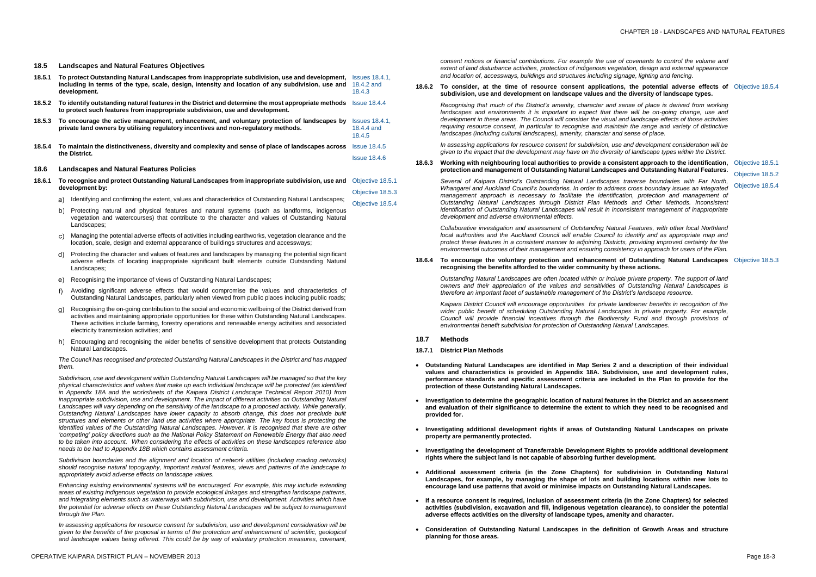# **18.5 Landscapes and Natural Features Objectives**

- **18.5.1 To protect Outstanding Natural Landscapes from inappropriate subdivision, use and development,**  Issues 18.4.1, **including in terms of the type, scale, design, intensity and location of any subdivision, use and development.** 18.4.2 and 18.4.3
- **18.5.2 To identify outstanding natural features in the District and determine the most appropriate methods** Issue 18.4.4 **to protect such features from inappropriate subdivision, use and development.**
- **18.5.3 To encourage the active management, enhancement, and voluntary protection of landscapes by**  Issues 18.4.1, **private land owners by utilising regulatory incentives and non-regulatory methods.** 18.4.4 and 18.4.5
- **18.5.4 To maintain the distinctiveness, diversity and complexity and sense of place of landscapes across**  Issue 18.4.5 **the District.** Issue 18.4.6

### **18.6 Landscapes and Natural Features Policies**

- **18.6.1 To recognise and protect Outstanding Natural Landscapes from inappropriate subdivision, use and** Objective 18.5.1 **development by:** Objective 18.5.3
	- a) Identifying and confirming the extent, values and characteristics of Outstanding Natural Landscapes; Objective 18.5.4
	- b) Protecting natural and physical features and natural systems (such as landforms, indigenous vegetation and watercourses) that contribute to the character and values of Outstanding Natural Landscapes:
	- $\mathsf{c})$ Managing the potential adverse effects of activities including earthworks, vegetation clearance and the location, scale, design and external appearance of buildings structures and accessways;
	- Protecting the character and values of features and landscapes by managing the potential significant d). adverse effects of locating inappropriate significant built elements outside Outstanding Natural Landscapes;
	- Recognising the importance of views of Outstanding Natural Landscapes;
	- Avoiding significant adverse effects that would compromise the values and characteristics of  $f$ ) Outstanding Natural Landscapes, particularly when viewed from public places including public roads;
	- Recognising the on-going contribution to the social and economic wellbeing of the District derived from activities and maintaining appropriate opportunities for these within Outstanding Natural Landscapes. These activities include farming, forestry operations and renewable energy activities and associated electricity transmission activities; and
	- Encouraging and recognising the wider benefits of sensitive development that protects Outstanding Natural Landscapes.

*The Council has recognised and protected Outstanding Natural Landscapes in the District and has mapped them.*

**18.6.2 To consider, at the time of resource consent applications, the potential adverse effects of Objective 18.5.4 subdivision, use and development on landscape values and the diversity of landscape types.**

### 18.6.3 Working with neighbouring local authorities to provide a consistent approach to the identification, Objective 18.5.1 **protection and management of Outstanding Natural Landscapes and Outstanding Natural Features.**

*Subdivision, use and development within Outstanding Natural Landscapes will be managed so that the key physical characteristics and values that make up each individual landscape will be protected (as identified in Appendix 18A and the worksheets of the Kaipara District Landscape Technical Report 2010) from inappropriate subdivision, use and development. The impact of different activities on Outstanding Natural Landscapes will vary depending on the sensitivity of the landscape to a proposed activity. While generally, Outstanding Natural Landscapes have lower capacity to absorb change, this does not preclude built structures and elements or other land use activities where appropriate. The key focus is protecting the identified values of the Outstanding Natural Landscapes. However, it is recognised that there are other 'competing' policy directions such as the National Policy Statement on Renewable Energy that also need to be taken into account. When considering the effects of activities on these landscapes reference also needs to be had to Appendix 18B which contains assessment criteria.* 

*Subdivision boundaries and the alignment and location of network utilities (including roading networks) should recognise natural topography, important natural features, views and patterns of the landscape to appropriately avoid adverse effects on landscape values.*

*Enhancing existing environmental systems will be encouraged. For example, this may include extending areas of existing indigenous vegetation to provide ecological linkages and strengthen landscape patterns, and integrating elements such as waterways with subdivision, use and development. Activities which have the potential for adverse effects on these Outstanding Natural Landscapes will be subject to management through the Plan.* 

*In assessing applications for resource consent for subdivision, use and development consideration will be given to the benefits of the proposal in terms of the protection and enhancement of scientific, geological and landscape values being offered. This could be by way of voluntary protection measures, covenant,* 

*consent notices or financial contributions. For example the use of covenants to control the volume and extent of land disturbance activities, protection of indigenous vegetation, design and external appearance and location of, accessways, buildings and structures including signage, lighting and fencing.*

*Recognising that much of the District's amenity, character and sense of place is derived from working*  landscapes and environments it is important to expect that there will be on-going change, use and *development in these areas. The Council will consider the visual and landscape effects of those activities requiring resource consent, in particular to recognise and maintain the range and variety of distinctive landscapes (including cultural landscapes), amenity, character and sense of place.*

*In assessing applications for resource consent for subdivision, use and development consideration will be given to the impact that the development may have on the diversity of landscape types within the District.*

*Several of Kaipara District's Outstanding Natural Landscapes traverse boundaries with Far North, Whangarei and Auckland Council's boundaries. In order to address cross boundary issues an integrated*  management approach is necessary to facilitate the identification, protection and management of *Outstanding Natural Landscapes through District Plan Methods and Other Methods. Inconsistent identification of Outstanding Natural Landscapes will result in inconsistent management of inappropriate development and adverse environmental effects.*

*Collaborative investigation and assessment of Outstanding Natural Features, with other local Northland local authorities and the Auckland Council will enable Council to identify and as appropriate map and protect these features in a consistent manner to adjoining Districts, providing improved certainty for the environmental outcomes of their management and ensuring consistency in approach for users of the Plan.*

Objective 18.5.2

Objective 18.5.4

### **18.6.4 To encourage the voluntary protection and enhancement of Outstanding Natural Landscapes** Objective 18.5.3 **recognising the benefits afforded to the wider community by these actions.**

*Outstanding Natural Landscapes are often located within or include private property. The support of land owners and their appreciation of the values and sensitivities of Outstanding Natural Landscapes is therefore an important facet of sustainable management of the District's landscape resource.* 

*Kaipara District Council will encourage opportunities for private landowner benefits in recognition of the wider public benefit of scheduling Outstanding Natural Landscapes in private property. For example, Council will provide financial incentives through the Biodiversity Fund and through provisions of environmental benefit subdivision for protection of Outstanding Natural Landscapes.*

### **18.7 Methods**

# **18.7.1 District Plan Methods**

- **Outstanding Natural Landscapes are identified in Map Series 2 and a description of their individual values and characteristics is provided in Appendix 18A. Subdivision, use and development rules, performance standards and specific assessment criteria are included in the Plan to provide for the protection of these Outstanding Natural Landscapes.**
- **Investigation to determine the geographic location of natural features in the District and an assessment and evaluation of their significance to determine the extent to which they need to be recognised and provided for.**
- **Investigating additional development rights if areas of Outstanding Natural Landscapes on private property are permanently protected.**
- **Investigating the development of Transferrable Development Rights to provide additional development rights where the subject land is not capable of absorbing further development.**
- **Additional assessment criteria (in the Zone Chapters) for subdivision in Outstanding Natural Landscapes, for example, by managing the shape of lots and building locations within new lots to encourage land use patterns that avoid or minimise impacts on Outstanding Natural Landscapes.**
- **If a resource consent is required, inclusion of assessment criteria (in the Zone Chapters) for selected activities (subdivision, excavation and fill, indigenous vegetation clearance), to consider the potential adverse effects activities on the diversity of landscape types, amenity and character.**
- **Consideration of Outstanding Natural Landscapes in the definition of Growth Areas and structure planning for those areas.**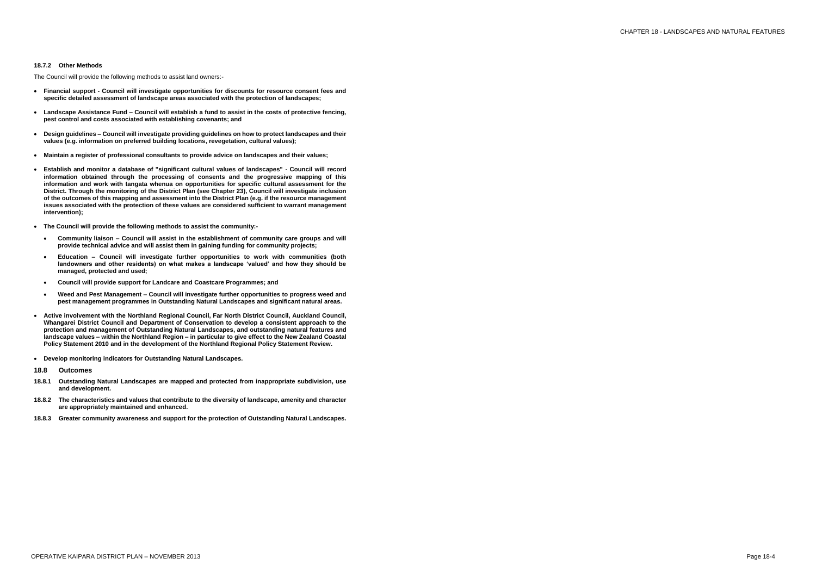### **18.7.2 Other Methods**

The Council will provide the following methods to assist land owners:-

- **Financial support - Council will investigate opportunities for discounts for resource consent fees and specific detailed assessment of landscape areas associated with the protection of landscapes;**
- **Landscape Assistance Fund – Council will establish a fund to assist in the costs of protective fencing, pest control and costs associated with establishing covenants; and**
- **Design guidelines – Council will investigate providing guidelines on how to protect landscapes and their values (e.g. information on preferred building locations, revegetation, cultural values);**
- **Maintain a register of professional consultants to provide advice on landscapes and their values;**
- **Establish and monitor a database of "significant cultural values of landscapes" - Council will record information obtained through the processing of consents and the progressive mapping of this information and work with tangata whenua on opportunities for specific cultural assessment for the District. Through the monitoring of the District Plan (see Chapter 23), Council will investigate inclusion of the outcomes of this mapping and assessment into the District Plan (e.g. if the resource management issues associated with the protection of these values are considered sufficient to warrant management intervention);**
- **The Council will provide the following methods to assist the community:-**
	- **Community liaison – Council will assist in the establishment of community care groups and will provide technical advice and will assist them in gaining funding for community projects;**
	- **Education – Council will investigate further opportunities to work with communities (both landowners and other residents) on what makes a landscape 'valued' and how they should be managed, protected and used;**
	- **Council will provide support for Landcare and Coastcare Programmes; and**
	- **Weed and Pest Management – Council will investigate further opportunities to progress weed and pest management programmes in Outstanding Natural Landscapes and significant natural areas.**
- **Active involvement with the Northland Regional Council, Far North District Council, Auckland Council, Whangarei District Council and Department of Conservation to develop a consistent approach to the protection and management of Outstanding Natural Landscapes, and outstanding natural features and landscape values – within the Northland Region – in particular to give effect to the New Zealand Coastal Policy Statement 2010 and in the development of the Northland Regional Policy Statement Review.**
- **Develop monitoring indicators for Outstanding Natural Landscapes.**
- **18.8 Outcomes**
- **18.8.1 Outstanding Natural Landscapes are mapped and protected from inappropriate subdivision, use and development.**
- **18.8.2 The characteristics and values that contribute to the diversity of landscape, amenity and character are appropriately maintained and enhanced.**
- **18.8.3 Greater community awareness and support for the protection of Outstanding Natural Landscapes.**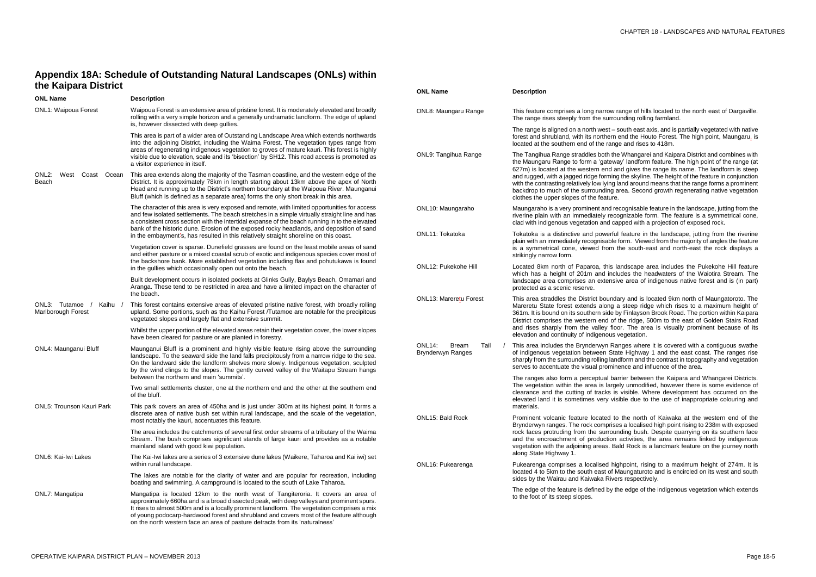w range of hills located to the north east of Dargaville. rounding rolling farmland.

- south east axis, and is partially vegetated with native rn end the Houto Forest. The high point, Maungaru, is inge and rises to 418m.

the Whangarei and Kaipara District and combines with eway' landform feature. The high point of the range (at I and gives the range its name. The landform is steep ing the skyline. The height of the feature in conjunction g land around means that the range forms a prominent g area. Second growth regenerating native vegetation

I recognisable feature in the landscape, jutting from the ecognizable form. The feature is a symmetrical cone, capped with a projection of exposed rock.

rful feature in the landscape, jutting from the riverine ble form. Viewed from the majority of angles the feature m the south-east and north-east the rock displays a

s landscape area includes the Pukekohe Hill feature ncludes the headwaters of the Waiotira Stream. The nsive area of indigenous native forest and is (in part)

ndary and is located 9km north of Maungatoroto. The  $ng$  a steep ridge which rises to a maximum height of e by Finlayson Brook Road. The portion within Kaipara of the ridge, 500m to the east of Golden Stairs Road floor. The area is visually prominent because of its is vegetation.

Ranges where it is covered with a contiguous swathe State Highway 1 and the east coast. The ranges rise andform and the contrast in topography and vegetation ninence and influence of the area.

barrier between the Kaipara and Whangarei Districts. rgely unmodified, however there is some evidence of is visible. Where development has occurred on the visible due to the use of inappropriate colouring and

to the north of Kaiwaka at the western end of the ises a localised high point rising to 238m with exposed bunding bush. Despite quarrying on its southern face on activities, the area remains linked by indigenous Bald Rock is a landmark feature on the journey north

highpoint, rising to a maximum height of 274m. It is If Maungaturoto and is encircled on its west and south vers respectively.

 $y$  the edge of the indigenous vegetation which extends

# **Appendix 18A: Schedule of Outstanding Natural Landscapes (ONLs) within the Kaipara District**

| <b>ONL Name</b>                                      | <b>Description</b>                                                                                                                                                                                                                                                                                                                                                                                                                                       | <b>ONL Name</b>                                                  | <b>Description</b>                                                                                                                                                          |  |
|------------------------------------------------------|----------------------------------------------------------------------------------------------------------------------------------------------------------------------------------------------------------------------------------------------------------------------------------------------------------------------------------------------------------------------------------------------------------------------------------------------------------|------------------------------------------------------------------|-----------------------------------------------------------------------------------------------------------------------------------------------------------------------------|--|
| <b>ONL1: Waipoua Forest</b>                          | Waipoua Forest is an extensive area of pristine forest. It is moderately elevated and broadly<br>rolling with a very simple horizon and a generally undramatic landform. The edge of upland<br>is, however dissected with deep gullies.                                                                                                                                                                                                                  | ONL8: Maungaru Range                                             | This feature comprises a long narrow r<br>The range rises steeply from the surrou                                                                                           |  |
|                                                      | This area is part of a wider area of Outstanding Landscape Area which extends northwards<br>into the adjoining District, including the Waima Forest. The vegetation types range from<br>areas of regenerating indigenous vegetation to groves of mature kauri. This forest is highly<br>visible due to elevation, scale and its 'bisection' by SH12. This road access is promoted as<br>a visitor experience in itself.                                  |                                                                  | The range is aligned on a north west $-$ s<br>forest and shrubland, with its northern<br>located at the southern end of the rang                                            |  |
|                                                      |                                                                                                                                                                                                                                                                                                                                                                                                                                                          | ONL9: Tangihua Range                                             | The Tangihua Range straddles both the<br>the Maungaru Range to form a 'gatewa<br>627m) is located at the western end ar                                                     |  |
| ONL <sub>2:</sub><br>West<br>Coast<br>Ocean<br>Beach | This area extends along the majority of the Tasman coastline, and the western edge of the<br>District. It is approximately 78km in length starting about 13km above the apex of North<br>Head and running up to the District's northern boundary at the Waipoua River. Maunganui<br>Bluff (which is defined as a separate area) forms the only short break in this area.                                                                                 |                                                                  | and rugged, with a jagged ridge forming<br>with the contrasting relatively low lying I<br>backdrop to much of the surrounding a<br>clothes the upper slopes of the feature. |  |
|                                                      | The character of this area is very exposed and remote, with limited opportunities for access<br>and few isolated settlements. The beach stretches in a simple virtually straight line and has<br>a consistent cross section with the intertidal expanse of the beach running in to the elevated<br>bank of the historic dune. Erosion of the exposed rocky headlands, and deposition of sand                                                             | ONL10: Maungaraho                                                | Maungaraho is a very prominent and re<br>riverine plain with an immediately reco<br>clad with indigenous vegetation and ca                                                  |  |
|                                                      | in the embayment's, has resulted in this relatively straight shoreline on this coast.                                                                                                                                                                                                                                                                                                                                                                    | ONL11: Tokatoka                                                  | Tokatoka is a distinctive and powerful<br>plain with an immediately recognisable                                                                                            |  |
|                                                      | Vegetation cover is sparse. Dunefield grasses are found on the least mobile areas of sand<br>and either pasture or a mixed coastal scrub of exotic and indigenous species cover most of<br>the backshore bank. More established vegetation including flax and pohutukawa is found                                                                                                                                                                        | ONL12: Pukekohe Hill                                             | is a symmetrical cone, viewed from t<br>strikingly narrow form.                                                                                                             |  |
|                                                      | in the gullies which occasionally open out onto the beach.                                                                                                                                                                                                                                                                                                                                                                                               |                                                                  | Located 8km north of Paparoa, this la<br>which has a height of 201m and inclu                                                                                               |  |
|                                                      | Built development occurs in isolated pockets at Glinks Gully, Baylys Beach, Omamari and<br>Aranga. These tend to be restricted in area and have a limited impact on the character of                                                                                                                                                                                                                                                                     |                                                                  | landscape area comprises an extensiv<br>protected as a scenic reserve.                                                                                                      |  |
| ONL3: Tutamoe<br>Kaihu<br>Marlborough Forest         | the beach.<br>This forest contains extensive areas of elevated pristine native forest, with broadly rolling<br>upland. Some portions, such as the Kaihu Forest /Tutamoe are notable for the precipitous<br>vegetated slopes and largely flat and extensive summit.                                                                                                                                                                                       | ONL13: Mareretu Forest                                           | This area straddles the District bounda<br>Mareretu State forest extends along a<br>361m. It is bound on its southern side b<br>District comprises the western end of       |  |
|                                                      | Whilst the upper portion of the elevated areas retain their vegetation cover, the lower slopes<br>have been cleared for pasture or are planted in forestry.                                                                                                                                                                                                                                                                                              |                                                                  | and rises sharply from the valley floo<br>elevation and continuity of indigenous                                                                                            |  |
| ONL4: Maunganui Bluff                                | Maunganui Bluff is a prominent and highly visible feature rising above the surrounding<br>landscape. To the seaward side the land falls precipitously from a narrow ridge to the sea.<br>On the landward side the landform shelves more slowly. Indigenous vegetation, sculpted<br>by the wind clings to the slopes. The gently curved valley of the Waitapu Stream hangs                                                                                | ONL <sub>14</sub> :<br><b>Bream</b><br>Tail<br>Brynderwyn Ranges | This area includes the Brynderwyn Ra<br>of indigenous vegetation between Sta<br>sharply from the surrounding rolling land<br>serves to accentuate the visual promine        |  |
|                                                      | between the northern and main 'summits'.<br>Two small settlements cluster, one at the northern end and the other at the southern end<br>of the bluff.                                                                                                                                                                                                                                                                                                    |                                                                  | The ranges also form a perceptual bar<br>The vegetation within the area is large<br>clearance and the cutting of tracks is                                                  |  |
| <b>ONL5: Trounson Kauri Park</b>                     | This park covers an area of 450ha and is just under 300m at its highest point. It forms a<br>discrete area of native bush set within rural landscape, and the scale of the vegetation,                                                                                                                                                                                                                                                                   | <b>ONL15: Bald Rock</b>                                          | elevated land it is sometimes very vis<br>materials.<br>Prominent volcanic feature located to                                                                               |  |
|                                                      | most notably the kauri, accentuates this feature.<br>The area includes the catchments of several first order streams of a tributary of the Waima                                                                                                                                                                                                                                                                                                         |                                                                  | Brynderwyn ranges. The rock comprise<br>rock faces protruding from the surrour<br>and the encroachment of production<br>vegetation with the adjoining areas. Ba             |  |
|                                                      | Stream. The bush comprises significant stands of large kauri and provides as a notable<br>mainland island with good kiwi population.                                                                                                                                                                                                                                                                                                                     |                                                                  |                                                                                                                                                                             |  |
| <b>ONL6: Kai-Iwi Lakes</b>                           | The Kai-Iwi lakes are a series of 3 extensive dune lakes (Waikere, Taharoa and Kai iwi) set<br>within rural landscape.                                                                                                                                                                                                                                                                                                                                   | ONL16: Pukearenga                                                | along State Highway 1.<br>Pukearenga comprises a localised hig                                                                                                              |  |
|                                                      | The lakes are notable for the clarity of water and are popular for recreation, including<br>boating and swimming. A campground is located to the south of Lake Taharoa.                                                                                                                                                                                                                                                                                  |                                                                  | located 4 to 5km to the south east of M<br>sides by the Wairau and Kaiwaka River                                                                                            |  |
| ONL7: Mangatipa                                      | Mangatipa is located 12km to the north west of Tangiteroria. It covers an area of<br>approximately 660ha and is a broad dissected peak, with deep valleys and prominent spurs.<br>It rises to almost 500m and is a locally prominent landform. The vegetation comprises a mix<br>of young podocarp-hardwood forest and shrubland and covers most of the feature although<br>on the north western face an area of pasture detracts from its 'naturalness' |                                                                  | The edge of the feature is defined by the<br>to the foot of its steep slopes.                                                                                               |  |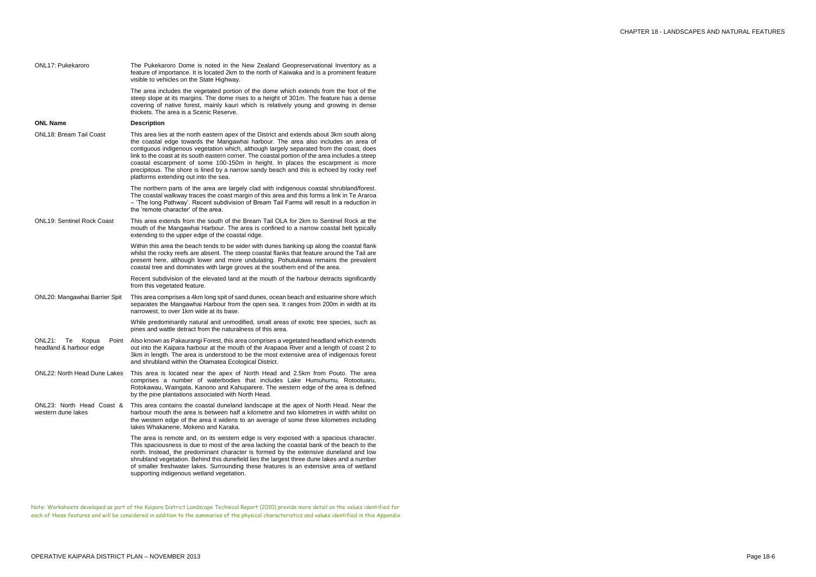| ONL17: Pukekaroro                                         | The Pukekaroro Dome is noted in the New Zealand Geopreservational Inventory as a<br>feature of importance. It is located 2km to the north of Kaiwaka and is a prominent feature<br>visible to vehicles on the State Highway.                                                                                                                                                                                                                                                                                                                                                                          |
|-----------------------------------------------------------|-------------------------------------------------------------------------------------------------------------------------------------------------------------------------------------------------------------------------------------------------------------------------------------------------------------------------------------------------------------------------------------------------------------------------------------------------------------------------------------------------------------------------------------------------------------------------------------------------------|
|                                                           | The area includes the vegetated portion of the dome which extends from the foot of the<br>steep slope at its margins. The dome rises to a height of 301m. The feature has a dense<br>covering of native forest, mainly kauri which is relatively young and growing in dense<br>thickets. The area is a Scenic Reserve.                                                                                                                                                                                                                                                                                |
| <b>ONL Name</b>                                           | <b>Description</b>                                                                                                                                                                                                                                                                                                                                                                                                                                                                                                                                                                                    |
| <b>ONL18: Bream Tail Coast</b>                            | This area lies at the north eastern apex of the District and extends about 3km south along<br>the coastal edge towards the Mangawhai harbour. The area also includes an area of<br>contiguous indigenous vegetation which, although largely separated from the coast, does<br>link to the coast at its south eastern corner. The coastal portion of the area includes a steep<br>coastal escarpment of some 100-150m in height. In places the escarpment is more<br>precipitous. The shore is lined by a narrow sandy beach and this is echoed by rocky reef<br>platforms extending out into the sea. |
|                                                           | The northern parts of the area are largely clad with indigenous coastal shrubland/forest.<br>The coastal walkway traces the coast margin of this area and this forms a link in Te Araroa<br>- 'The long Pathway'. Recent subdivision of Bream Tail Farms will result in a reduction in<br>the 'remote character' of the area.                                                                                                                                                                                                                                                                         |
| <b>ONL19: Sentinel Rock Coast</b>                         | This area extends from the south of the Bream Tail OLA for 2km to Sentinel Rock at the<br>mouth of the Mangawhai Harbour. The area is confined to a narrow coastal belt typically<br>extending to the upper edge of the coastal ridge.                                                                                                                                                                                                                                                                                                                                                                |
|                                                           | Within this area the beach tends to be wider with dunes banking up along the coastal flank<br>whilst the rocky reefs are absent. The steep coastal flanks that feature around the Tail are<br>present here, although lower and more undulating. Pohutukawa remains the prevalent<br>coastal tree and dominates with large groves at the southern end of the area.                                                                                                                                                                                                                                     |
|                                                           | Recent subdivision of the elevated land at the mouth of the harbour detracts significantly<br>from this vegetated feature.                                                                                                                                                                                                                                                                                                                                                                                                                                                                            |
| ONL20: Mangawhai Barrier Spit                             | This area comprises a 4km long spit of sand dunes, ocean beach and estuarine shore which<br>separates the Mangawhai Harbour from the open sea. It ranges from 200m in width at its<br>narrowest, to over 1km wide at its base.                                                                                                                                                                                                                                                                                                                                                                        |
|                                                           | While predominantly natural and unmodified, small areas of exotic tree species, such as<br>pines and wattle detract from the naturalness of this area.                                                                                                                                                                                                                                                                                                                                                                                                                                                |
| ONL21:<br>Te<br>Kopua<br>Point<br>headland & harbour edge | Also known as Pakaurangi Forest, this area comprises a vegetated headland which extends<br>out into the Kaipara harbour at the mouth of the Arapaoa River and a length of coast 2 to<br>3km in length. The area is understood to be the most extensive area of indigenous forest<br>and shrubland within the Otamatea Ecological District.                                                                                                                                                                                                                                                            |
| ONL22: North Head Dune Lakes                              | This area is located near the apex of North Head and 2.5km from Pouto. The area<br>comprises a number of waterbodies that includes Lake Humuhumu, Rotootuaru,<br>Rotokawau, Waingata, Kanono and Kahuparere. The western edge of the area is defined<br>by the pine plantations associated with North Head.                                                                                                                                                                                                                                                                                           |
| ONL23: North Head Coast &<br>western dune lakes           | This area contains the coastal duneland landscape at the apex of North Head. Near the<br>harbour mouth the area is between half a kilometre and two kilometres in width whilst on<br>the western edge of the area it widens to an average of some three kilometres including<br>lakes Whakanene, Mokeno and Karaka.                                                                                                                                                                                                                                                                                   |
|                                                           | The area is remote and, on its western edge is very exposed with a spacious character.<br>This spaciousness is due to most of the area lacking the coastal bank of the beach to the<br>north. Instead, the predominant character is formed by the extensive duneland and low<br>shrubland vegetation. Behind this dunefield lies the largest three dune lakes and a number<br>of smaller freshwater lakes. Surrounding these features is an extensive area of wetland<br>supporting indigenous wetland vegetation.                                                                                    |
|                                                           |                                                                                                                                                                                                                                                                                                                                                                                                                                                                                                                                                                                                       |

Note: Worksheets developed as part of the Kaipara District Landscape Technical Report (2010) provide more detail on the values identified for each of these features and will be considered in addition to the summaries of the physical characteristics and values identified in this Appendix.